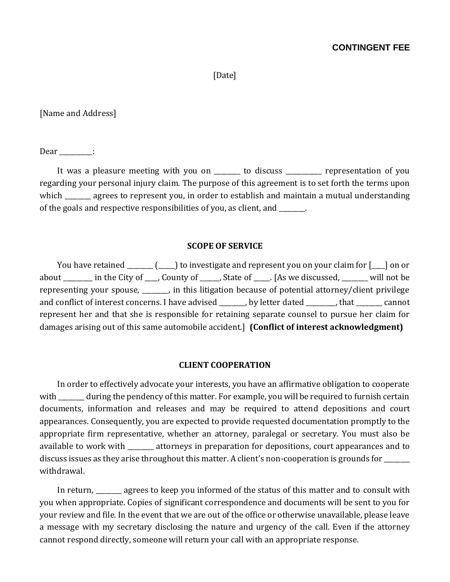# **CONTINGENT FEE**

[Date]

[Name and Address]

Dear :

It was a pleasure meeting with you on \_\_\_\_\_\_ to discuss \_\_\_\_\_\_\_\_ representation of you regarding your personal injury claim. The purpose of this agreement is to set forth the terms upon which agrees to represent you, in order to establish and maintain a mutual understanding of the goals and respective responsibilities of you, as client, and \_\_\_\_\_\_\_\_.

### **SCOPE OF SERVICE**

You have retained (Completed contractive and represent you on your claim for  $\lceil \quad \rceil$  on or about \_\_\_\_\_\_\_\_\_ in the City of \_\_\_\_, County of \_\_\_\_\_\_, State of \_\_\_\_\_. [As we discussed, \_\_\_\_\_\_\_\_ will not be representing your spouse, \_\_\_\_\_\_\_\_, in this litigation because of potential attorney/client privilege and conflict of interest concerns. I have advised \_\_\_\_\_\_, by letter dated \_\_\_\_\_\_, that \_\_\_\_\_\_ cannot represent her and that she is responsible for retaining separate counsel to pursue her claim for damages arising out of this same automobile accident.] **(Conflict of interest acknowledgment)** 

### **CLIENT COOPERATION**

In order to effectively advocate your interests, you have an affirmative obligation to cooperate with \_\_\_\_\_\_\_\_ during the pendency of this matter. For example, you will be required to furnish certain documents, information and releases and may be required to attend depositions and court appearances. Consequently, you are expected to provide requested documentation promptly to the appropriate firm representative, whether an attorney, paralegal or secretary. You must also be available to work with \_\_\_\_\_\_\_\_ attorneys in preparation for depositions, court appearances and to discuss issues as they arise throughout this matter. A client's non-cooperation is grounds for \_\_\_\_\_\_\_\_\_\_\_\_\_\_\_ withdrawal.

In return, agrees to keep you informed of the status of this matter and to consult with you when appropriate. Copies of significant correspondence and documents will be sent to you for your review and file. In the event that we are out of the office or otherwise unavailable, please leave a message with my secretary disclosing the nature and urgency of the call. Even if the attorney cannot respond directly, someone will return your call with an appropriate response.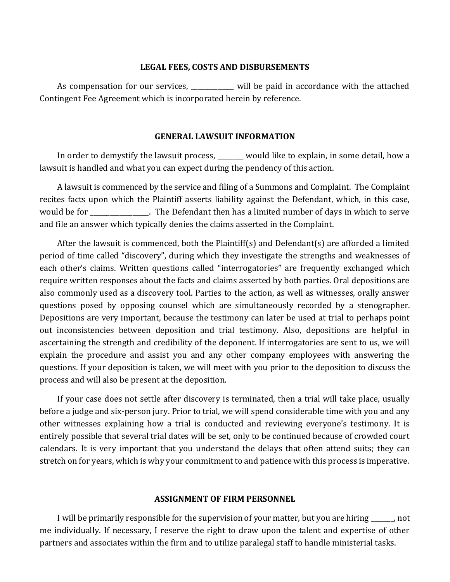### **LEGAL FEES, COSTS AND DISBURSEMENTS**

As compensation for our services, will be paid in accordance with the attached Contingent Fee Agreement which is incorporated herein by reference.

### **GENERAL LAWSUIT INFORMATION**

In order to demystify the lawsuit process, \_\_\_\_\_ would like to explain, in some detail, how a lawsuit is handled and what you can expect during the pendency of this action.

A lawsuit is commenced by the service and filing of a Summons and Complaint. The Complaint recites facts upon which the Plaintiff asserts liability against the Defendant, which, in this case, would be for The Defendant then has a limited number of days in which to serve and file an answer which typically denies the claims asserted in the Complaint.

After the lawsuit is commenced, both the Plaintiff(s) and Defendant(s) are afforded a limited period of time called "discovery", during which they investigate the strengths and weaknesses of each other's claims. Written questions called "interrogatories" are frequently exchanged which require written responses about the facts and claims asserted by both parties. Oral depositions are also commonly used as a discovery tool. Parties to the action, as well as witnesses, orally answer questions posed by opposing counsel which are simultaneously recorded by a stenographer. Depositions are very important, because the testimony can later be used at trial to perhaps point out inconsistencies between deposition and trial testimony. Also, depositions are helpful in ascertaining the strength and credibility of the deponent. If interrogatories are sent to us, we will explain the procedure and assist you and any other company employees with answering the questions. If your deposition is taken, we will meet with you prior to the deposition to discuss the process and will also be present at the deposition.

If your case does not settle after discovery is terminated, then a trial will take place, usually before a judge and six-person jury. Prior to trial, we will spend considerable time with you and any other witnesses explaining how a trial is conducted and reviewing everyone's testimony. It is entirely possible that several trial dates will be set, only to be continued because of crowded court calendars. It is very important that you understand the delays that often attend suits; they can stretch on for years, which is why your commitment to and patience with this process is imperative.

### **ASSIGNMENT OF FIRM PERSONNEL**

I will be primarily responsible for the supervision of your matter, but you are hiring  $\qquad \qquad$ , not me individually. If necessary, I reserve the right to draw upon the talent and expertise of other partners and associates within the firm and to utilize paralegal staff to handle ministerial tasks.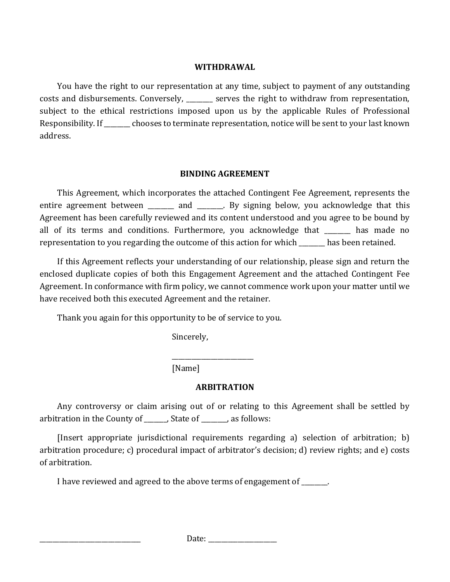## **WITHDRAWAL**

You have the right to our representation at any time, subject to payment of any outstanding costs and disbursements. Conversely, exters the right to withdraw from representation, subject to the ethical restrictions imposed upon us by the applicable Rules of Professional Responsibility. If \_\_\_\_\_\_\_\_ chooses to terminate representation, notice will be sent to your last known address.

# **BINDING AGREEMENT**

This Agreement, which incorporates the attached Contingent Fee Agreement, represents the entire agreement between \_\_\_\_\_\_\_ and \_\_\_\_\_\_. By signing below, you acknowledge that this Agreement has been carefully reviewed and its content understood and you agree to be bound by all of its terms and conditions. Furthermore, you acknowledge that \_\_\_\_\_\_\_\_ has made no representation to you regarding the outcome of this action for which \_\_\_\_\_\_\_\_ has been retained.

If this Agreement reflects your understanding of our relationship, please sign and return the enclosed duplicate copies of both this Engagement Agreement and the attached Contingent Fee Agreement. In conformance with firm policy, we cannot commence work upon your matter until we have received both this executed Agreement and the retainer.

Thank you again for this opportunity to be of service to you.

Sincerely,

[Name]

# **ARBITRATION**

\_\_\_\_\_\_\_\_\_\_\_\_\_\_\_\_\_\_\_\_\_\_\_\_\_

Any controversy or claim arising out of or relating to this Agreement shall be settled by arbitration in the County of \_\_\_\_\_\_\_, State of \_\_\_\_\_\_\_\_, as follows:

[Insert appropriate jurisdictional requirements regarding a) selection of arbitration; b) arbitration procedure; c) procedural impact of arbitrator's decision; d) review rights; and e) costs of arbitration.

I have reviewed and agreed to the above terms of engagement of  $\qquad \qquad$ .

\_\_\_\_\_\_\_\_\_\_\_\_\_\_\_\_\_\_\_\_\_\_\_\_\_\_\_\_\_\_\_ Date: \_\_\_\_\_\_\_\_\_\_\_\_\_\_\_\_\_\_\_\_\_